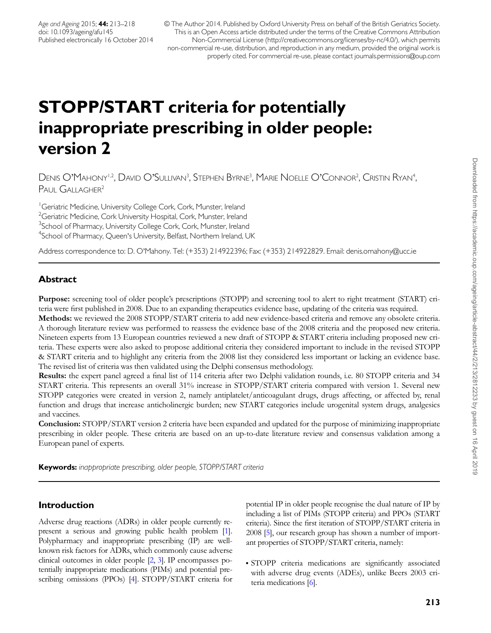© The Author 2014. Published by Oxford University Press on behalf of the British Geriatrics Society. This is an Open Access article distributed under the terms of the Creative Commons Attribution Non-Commercial License (http://creativecommons.org/licenses/by-nc/4.0/), which permits non-commercial re-use, distribution, and reproduction in any medium, provided the original work is properly cited. For commercial re-use, please contact journals.permissions@oup.com

# STOPP/START criteria for potentially inappropriate prescribing in older people: version 2

Denis O'Mahony<sup>i,2</sup>, David O'Sullivan<sup>3</sup>, Stephen Byrne<sup>3</sup>, Marie Noelle O'Connor<sup>2</sup>, Cristin Ryan<sup>4</sup> , PAUL GALLAGHER<sup>2</sup>

1 Geriatric Medicine, University College Cork, Cork, Munster, Ireland <sup>2</sup> Geriatric Medicine, Cork University Hospital, Cork, Munster, Ireland <sup>3</sup>School of Pharmacy, University College Cork, Cork, Munster, Ireland 4 School of Pharmacy, Queen's University, Belfast, Northern Ireland, UK

Address correspondence to: D. O'Mahony. Tel: (+353) 214922396; Fax: (+353) 214922829. Email: denis.omahony@ucc.ie

# Abstract

Purpose: screening tool of older people's prescriptions (STOPP) and screening tool to alert to right treatment (START) criteria were first published in 2008. Due to an expanding therapeutics evidence base, updating of the criteria was required.

Methods: we reviewed the 2008 STOPP/START criteria to add new evidence-based criteria and remove any obsolete criteria. A thorough literature review was performed to reassess the evidence base of the 2008 criteria and the proposed new criteria. Nineteen experts from 13 European countries reviewed a new draft of STOPP & START criteria including proposed new criteria. These experts were also asked to propose additional criteria they considered important to include in the revised STOPP & START criteria and to highlight any criteria from the 2008 list they considered less important or lacking an evidence base. The revised list of criteria was then validated using the Delphi consensus methodology.

Results: the expert panel agreed a final list of 114 criteria after two Delphi validation rounds, i.e. 80 STOPP criteria and 34 START criteria. This represents an overall 31% increase in STOPP/START criteria compared with version 1. Several new STOPP categories were created in version 2, namely antiplatelet/anticoagulant drugs, drugs affecting, or affected by, renal function and drugs that increase anticholinergic burden; new START categories include urogenital system drugs, analgesics and vaccines.

Conclusion: STOPP/START version 2 criteria have been expanded and updated for the purpose of minimizing inappropriate prescribing in older people. These criteria are based on an up-to-date literature review and consensus validation among a European panel of experts.

Keywords: inappropriate prescribing, older people, STOPP/START criteria

# Introduction

Adverse drug reactions (ADRs) in older people currently represent a serious and growing public health problem [\[1\]](#page-4-0). Polypharmacy and inappropriate prescribing (IP) are wellknown risk factors for ADRs, which commonly cause adverse clinical outcomes in older people [[2,](#page-4-0) [3](#page-4-0)]. IP encompasses potentially inappropriate medications (PIMs) and potential prescribing omissions (PPOs) [\[4](#page-5-0)]. STOPP/START criteria for

potential IP in older people recognise the dual nature of IP by including a list of PIMs (STOPP criteria) and PPOs (START criteria). Since the first iteration of STOPP/START criteria in 2008 [\[5\]](#page-5-0), our research group has shown a number of important properties of STOPP/START criteria, namely:

• STOPP criteria medications are significantly associated with adverse drug events (ADEs), unlike Beers 2003 criteria medications [[6\]](#page-5-0).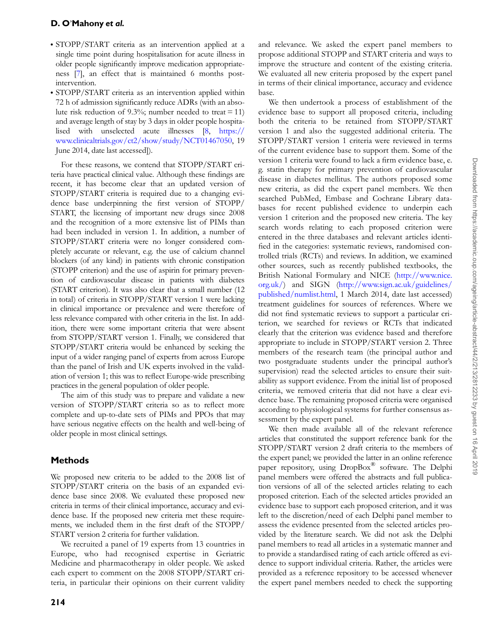- STOPP/START criteria as an intervention applied at a single time point during hospitalisation for acute illness in older people significantly improve medication appropriateness [\[7](#page-5-0)], an effect that is maintained 6 months postintervention.
- STOPP/START criteria as an intervention applied within 72 h of admission significantly reduce ADRs (with an absolute risk reduction of 9.3%; number needed to treat  $= 11$ ) and average length of stay by 3 days in older people hospitalised with unselected acute illnesses [\[8](#page-5-0), [https://](http://www.nice.org.uk/) [www.clinicaltrials.gov/ct2/show/study/NCT01467050](http://www.nice.org.uk/), 19 June 2014, date last accessed]).

For these reasons, we contend that STOPP/START criteria have practical clinical value. Although these findings are recent, it has become clear that an updated version of STOPP/START criteria is required due to a changing evidence base underpinning the first version of STOPP/ START, the licensing of important new drugs since 2008 and the recognition of a more extensive list of PIMs than had been included in version 1. In addition, a number of STOPP/START criteria were no longer considered completely accurate or relevant, e.g. the use of calcium channel blockers (of any kind) in patients with chronic constipation (STOPP criterion) and the use of aspirin for primary prevention of cardiovascular disease in patients with diabetes (START criterion). It was also clear that a small number (12 in total) of criteria in STOPP/START version 1 were lacking in clinical importance or prevalence and were therefore of less relevance compared with other criteria in the list. In addition, there were some important criteria that were absent from STOPP/START version 1. Finally, we considered that STOPP/START criteria would be enhanced by seeking the input of a wider ranging panel of experts from across Europe than the panel of Irish and UK experts involved in the validation of version 1; this was to reflect Europe-wide prescribing practices in the general population of older people.

The aim of this study was to prepare and validate a new version of STOPP/START criteria so as to reflect more complete and up-to-date sets of PIMs and PPOs that may have serious negative effects on the health and well-being of older people in most clinical settings.

# **Methods**

We proposed new criteria to be added to the 2008 list of STOPP/START criteria on the basis of an expanded evidence base since 2008. We evaluated these proposed new criteria in terms of their clinical importance, accuracy and evidence base. If the proposed new criteria met these requirements, we included them in the first draft of the STOPP/ START version 2 criteria for further validation.

We recruited a panel of 19 experts from 13 countries in Europe, who had recognised expertise in Geriatric Medicine and pharmacotherapy in older people. We asked each expert to comment on the 2008 STOPP/START criteria, in particular their opinions on their current validity

214

and relevance. We asked the expert panel members to propose additional STOPP and START criteria and ways to improve the structure and content of the existing criteria. We evaluated all new criteria proposed by the expert panel in terms of their clinical importance, accuracy and evidence base.

We then undertook a process of establishment of the evidence base to support all proposed criteria, including both the criteria to be retained from STOPP/START version 1 and also the suggested additional criteria. The STOPP/START version 1 criteria were reviewed in terms of the current evidence base to support them. Some of the version 1 criteria were found to lack a firm evidence base, e. g. statin therapy for primary prevention of cardiovascular disease in diabetes mellitus. The authors proposed some new criteria, as did the expert panel members. We then searched PubMed, Embase and Cochrane Library databases for recent published evidence to underpin each version 1 criterion and the proposed new criteria. The key search words relating to each proposed criterion were entered in the three databases and relevant articles identified in the categories: systematic reviews, randomised controlled trials (RCTs) and reviews. In addition, we examined other sources, such as recently published textbooks, the British National Formulary and NICE ([http://www.nice.](http://www.nice.org.uk/) [org.uk/](http://www.nice.org.uk/)) and SIGN ([http://www.sign.ac.uk/guidelines/](http://www.sign.ac.uk/guidelines/published/numlist.html) [published/numlist.html,](http://www.sign.ac.uk/guidelines/published/numlist.html) 1 March 2014, date last accessed) treatment guidelines for sources of references. Where we did not find systematic reviews to support a particular criterion, we searched for reviews or RCTs that indicated clearly that the criterion was evidence based and therefore appropriate to include in STOPP/START version 2. Three members of the research team (the principal author and two postgraduate students under the principal author's supervision) read the selected articles to ensure their suitability as support evidence. From the initial list of proposed criteria, we removed criteria that did not have a clear evidence base. The remaining proposed criteria were organised according to physiological systems for further consensus assessment by the expert panel.

We then made available all of the relevant reference articles that constituted the support reference bank for the STOPP/START version 2 draft criteria to the members of the expert panel; we provided the latter in an online reference paper repository, using DropBox<sup>®</sup> software. The Delphi panel members were offered the abstracts and full publication versions of all of the selected articles relating to each proposed criterion. Each of the selected articles provided an evidence base to support each proposed criterion, and it was left to the discretion/need of each Delphi panel member to assess the evidence presented from the selected articles provided by the literature search. We did not ask the Delphi panel members to read all articles in a systematic manner and to provide a standardised rating of each article offered as evidence to support individual criteria. Rather, the articles were provided as a reference repository to be accessed whenever the expert panel members needed to check the supporting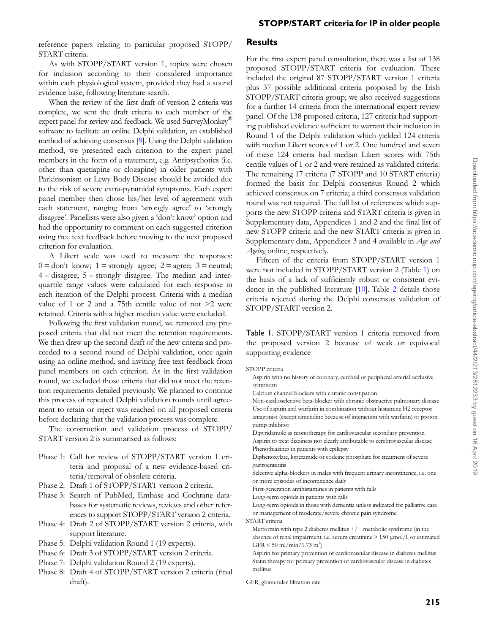reference papers relating to particular proposed STOPP/ START criteria.

As with STOPP/START version 1, topics were chosen for inclusion according to their considered importance within each physiological system, provided they had a sound evidence base, following literature search.

When the review of the first draft of version 2 criteria was complete, we sent the draft criteria to each member of the expert panel for review and feedback. We used SurveyMonkey® software to facilitate an online Delphi validation, an established method of achieving consensus [\[9\]](#page-5-0). Using the Delphi validation method, we presented each criterion to the expert panel members in the form of a statement, e.g. Antipsychotics (i.e. other than quetiapine or clozapine) in older patients with Parkinsonism or Lewy Body Disease should be avoided due to the risk of severe extra-pyramidal symptoms. Each expert panel member then chose his/her level of agreement with each statement, ranging from 'strongly agree' to 'strongly disagree'. Panellists were also given a 'don't know' option and had the opportunity to comment on each suggested criterion using free text feedback before moving to the next proposed criterion for evaluation.

A Likert scale was used to measure the responses:  $0 =$ don't know; 1 = strongly agree; 2 = agree; 3 = neutral;  $4 =$  disagree;  $5 =$  strongly disagree. The median and interquartile range values were calculated for each response in each iteration of the Delphi process. Criteria with a median value of 1 or 2 and a 75th centile value of not >2 were retained. Criteria with a higher median value were excluded.

Following the first validation round, we removed any proposed criteria that did not meet the retention requirements. We then drew up the second draft of the new criteria and proceeded to a second round of Delphi validation, once again using an online method, and inviting free text feedback from panel members on each criterion. As in the first validation round, we excluded those criteria that did not meet the retention requirements detailed previously. We planned to continue this process of repeated Delphi validation rounds until agreement to retain or reject was reached on all proposed criteria before declaring that the validation process was complete.

The construction and validation process of STOPP/ START version 2 is summarised as follows:

- Phase 1: Call for review of STOPP/START version 1 criteria and proposal of a new evidence-based criteria/removal of obsolete criteria.
- Phase 2: Draft 1 of STOPP/START version 2 criteria.
- Phase 3: Search of PubMed, Embase and Cochrane databases for systematic reviews, reviews and other references to support STOPP/START version 2 criteria.
- Phase 4: Draft 2 of STOPP/START version 2 criteria, with support literature.
- Phase 5: Delphi validation Round 1 (19 experts).
- Phase 6: Draft 3 of STOPP/START version 2 criteria.
- Phase 7: Delphi validation Round 2 (19 experts).
- Phase 8: Draft 4 of STOPP/START version 2 criteria (final draft).

#### **Results**

 $ST<sub>C</sub>$ 

 $ST/$ 

For the first expert panel consultation, there was a list of 138 proposed STOPP/START criteria for evaluation. These included the original 87 STOPP/START version 1 criteria plus 37 possible additional criteria proposed by the Irish STOPP/START criteria group; we also received suggestions for a further 14 criteria from the international expert review panel. Of the 138 proposed criteria, 127 criteria had supporting published evidence sufficient to warrant their inclusion in Round 1 of the Delphi validation which yielded 124 criteria with median Likert scores of 1 or 2. One hundred and seven of these 124 criteria had median Likert scores with 75th centile values of 1 or 2 and were retained as validated criteria. The remaining 17 criteria (7 STOPP and 10 START criteria) formed the basis for Delphi consensus Round 2 which achieved consensus on 7 criteria; a third consensus validation round was not required. The full list of references which supports the new STOPP criteria and START criteria is given in [Supplementary data, Appendices 1 and 2](http://ageing.oxfordjournals.org/lookup/suppl/doi:10.1093/ageing/afu145/-/DC1) and the final list of new STOPP criteria and the new START criteria is given in [Supplementary data, Appendices 3 and 4](http://ageing.oxfordjournals.org/lookup/suppl/doi:10.1093/ageing/afu145/-/DC1) available in [Age and](http://ageing.oxfordjournals.org/lookup/suppl/doi:10.1093/ageing/afu145/-/DC1) [Ageing](http://ageing.oxfordjournals.org/lookup/suppl/doi:10.1093/ageing/afu145/-/DC1) online, respectively.

Fifteen of the criteria from STOPP/START version 1 were not included in STOPP/START version 2 (Table 1) on the basis of a lack of sufficiently robust or consistent evidence in the published literature [\[10\]](#page-5-0). Table [2](#page-3-0) details those criteria rejected during the Delphi consensus validation of STOPP/START version 2.

Table 1. STOPP/START version 1 criteria removed from the proposed version 2 because of weak or equivocal supporting evidence

| OPP criteria                                                                                                                                            |
|---------------------------------------------------------------------------------------------------------------------------------------------------------|
| Aspirin with no history of coronary, cerebral or peripheral arterial occlusive                                                                          |
| symptoms                                                                                                                                                |
| Calcium channel blockers with chronic constipation                                                                                                      |
| Non-cardioselective beta-blocker with chronic obstructive pulmonary disease<br>Use of aspirin and warfarin in combination without histamine H2 receptor |
| antagonist (except cimetidine because of interaction with warfarin) or proton<br>pump inhibitor                                                         |
| Dipyridamole as monotherapy for cardiovascular secondary prevention                                                                                     |
| Aspirin to treat dizziness not clearly attributable to cerebrovascular disease                                                                          |
| Phenothiazines in patients with epilepsy                                                                                                                |
| Diphenoxylate, loperamide or codeine phosphate for treatment of severe<br>gastroenteritis                                                               |
| Selective alpha-blockers in males with frequent urinary incontinence, i.e. one<br>or more episodes of incontinence daily                                |
| First-generation antihistamines in patients with falls                                                                                                  |
| Long-term opioids in patients with falls                                                                                                                |
| Long-term opioids in those with dementia unless indicated for palliative care                                                                           |
| or management of moderate/severe chronic pain syndrome                                                                                                  |
| ART criteria                                                                                                                                            |
| Metformin with type 2 diabetes mellitus $+/-$ metabolic syndrome (in the                                                                                |
| absence of renal impairment, i.e. serum creatinine $> 150 \mu$ mol/l, or estimated                                                                      |
| GFR < 50 ml/min/1.73 m <sup>2</sup> )                                                                                                                   |
| Aspirin for primary prevention of cardiovascular disease in diabetes mellitus                                                                           |

Statin therapy for primary prevention of cardiovascular disease in diabetes mellitus

GFR, glomerular filtration rate.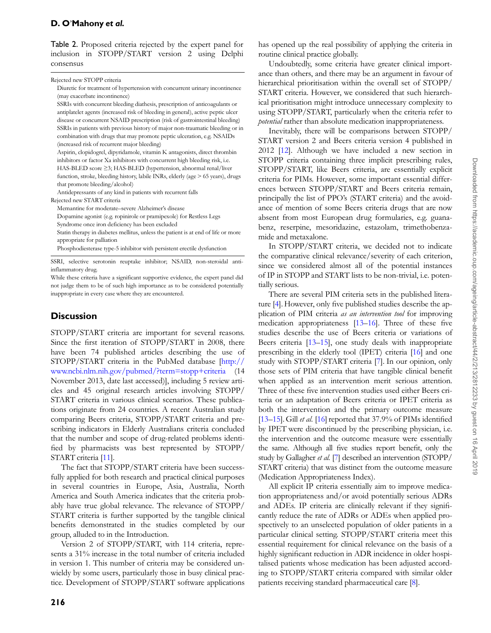#### <span id="page-3-0"></span>D. O'Mahony et al.

Table 2. Proposed criteria rejected by the expert panel for inclusion in STOPP/START version 2 using Delphi consensus

Rejected new STOPP criteria

Diuretic for treatment of hypertension with concurrent urinary incontinence (may exacerbate incontinence)

SSRIs with concurrent bleeding diathesis, prescription of anticoagulants or antiplatelet agents (increased risk of bleeding in general), active peptic ulcer disease or concurrent NSAID prescription (risk of gastrointestinal bleeding) SSRIs in patients with previous history of major non-traumatic bleeding or in combination with drugs that may promote peptic ulceration, e.g. NSAIDs (increased risk of recurrent major bleeding)

Aspirin, clopidogrel, dipyridamole, vitamin K antagonists, direct thrombin inhibitors or factor Xa inhibitors with concurrent high bleeding risk, i.e. HAS-BLED score ≥3; HAS-BLED (hypertension, abnormal renal/liver function, stroke, bleeding history, labile INRs, elderly (age > 65 years), drugs that promote bleeding/alcohol)

Antidepressants of any kind in patients with recurrent falls

Rejected new START criteria

Memantine for moderate–severe Alzheimer's disease

Dopamine agonist (e.g. ropinirole or pramipexole) for Restless Legs

Syndrome once iron deficiency has been excluded

Statin therapy in diabetes mellitus, unless the patient is at end of life or more appropriate for palliation

Phosphodiesterase type-5 inhibitor with persistent erectile dysfunction

SSRI, selective serotonin reuptake inhibitor; NSAID, non-steroidal antiinflammatory drug.

While these criteria have a significant supportive evidence, the expert panel did not judge them to be of such high importance as to be considered potentially inappropriate in every case where they are encountered.

#### **Discussion**

STOPP/START criteria are important for several reasons. Since the first iteration of STOPP/START in 2008, there have been 74 published articles describing the use of STOPP/START criteria in the PubMed database [\[http://](http://www.ncbi.nlm.nih.gov/pubmed/?term=stopp+criteria) [www.ncbi.nlm.nih.gov/pubmed/?term=stopp+criteria](http://www.ncbi.nlm.nih.gov/pubmed/?term=stopp+criteria) (14 November 2013, date last accessed)], including 5 review articles and 45 original research articles involving STOPP/ START criteria in various clinical scenarios. These publications originate from 24 countries. A recent Australian study comparing Beers criteria, STOPP/START criteria and prescribing indicators in Elderly Australians criteria concluded that the number and scope of drug-related problems identified by pharmacists was best represented by STOPP/ START criteria [\[11](#page-5-0)].

The fact that STOPP/START criteria have been successfully applied for both research and practical clinical purposes in several countries in Europe, Asia, Australia, North America and South America indicates that the criteria probably have true global relevance. The relevance of STOPP/ START criteria is further supported by the tangible clinical benefits demonstrated in the studies completed by our group, alluded to in the Introduction.

Version 2 of STOPP/START, with 114 criteria, represents a 31% increase in the total number of criteria included in version 1. This number of criteria may be considered unwieldy by some users, particularly those in busy clinical practice. Development of STOPP/START software applications has opened up the real possibility of applying the criteria in routine clinical practice globally.

Undoubtedly, some criteria have greater clinical importance than others, and there may be an argument in favour of hierarchical prioritisation within the overall set of STOPP/ START criteria. However, we considered that such hierarchical prioritisation might introduce unnecessary complexity to using STOPP/START, particularly when the criteria refer to potential rather than absolute medication inappropriateness.

Inevitably, there will be comparisons between STOPP/ START version 2 and Beers criteria version 4 published in 2012 [\[12\]](#page-5-0). Although we have included a new section in STOPP criteria containing three implicit prescribing rules, STOPP/START, like Beers criteria, are essentially explicit criteria for PIMs. However, some important essential differences between STOPP/START and Beers criteria remain, principally the list of PPO's (START criteria) and the avoidance of mention of some Beers criteria drugs that are now absent from most European drug formularies, e.g. guanabenz, reserpine, mesoridazine, estazolam, trimethobenzamide and metaxalone.

In STOPP/START criteria, we decided not to indicate the comparative clinical relevance/severity of each criterion, since we considered almost all of the potential instances of IP in STOPP and START lists to be non-trivial, i.e. potentially serious.

There are several PIM criteria sets in the published literature [\[4\]](#page-5-0). However, only five published studies describe the application of PIM criteria as an intervention tool for improving medication appropriateness [[13](#page-5-0)–[16\]](#page-5-0). Three of these five studies describe the use of Beers criteria or variations of Beers criteria [\[13](#page-5-0)–[15](#page-5-0)], one study deals with inappropriate prescribing in the elderly tool (IPET) criteria [[16\]](#page-5-0) and one study with STOPP/START criteria [[7\]](#page-5-0). In our opinion, only those sets of PIM criteria that have tangible clinical benefit when applied as an intervention merit serious attention. Three of these five intervention studies used either Beers criteria or an adaptation of Beers criteria or IPET criteria as both the intervention and the primary outcome measure [\[13](#page-5-0)–[15](#page-5-0)]. Gill *et al.* [[16\]](#page-5-0) reported that  $37.9\%$  of PIMs identified by IPET were discontinued by the prescribing physician, i.e. the intervention and the outcome measure were essentially the same. Although all five studies report benefit, only the study by Gallagher et al. [\[7\]](#page-5-0) described an intervention (STOPP/ START criteria) that was distinct from the outcome measure (Medication Appropriateness Index).

All explicit IP criteria essentially aim to improve medication appropriateness and/or avoid potentially serious ADRs and ADEs. IP criteria are clinically relevant if they significantly reduce the rate of ADRs or ADEs when applied prospectively to an unselected population of older patients in a particular clinical setting. STOPP/START criteria meet this essential requirement for clinical relevance on the basis of a highly significant reduction in ADR incidence in older hospitalised patients whose medication has been adjusted according to STOPP/START criteria compared with similar older patients receiving standard pharmaceutical care [[8\]](#page-5-0).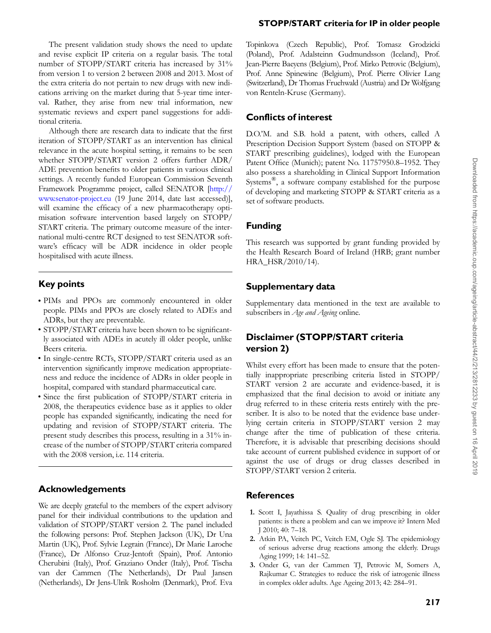<span id="page-4-0"></span>The present validation study shows the need to update and revise explicit IP criteria on a regular basis. The total number of STOPP/START criteria has increased by 31% from version 1 to version 2 between 2008 and 2013. Most of the extra criteria do not pertain to new drugs with new indications arriving on the market during that 5-year time interval. Rather, they arise from new trial information, new systematic reviews and expert panel suggestions for additional criteria.

Although there are research data to indicate that the first iteration of STOPP/START as an intervention has clinical relevance in the acute hospital setting, it remains to be seen whether STOPP/START version 2 offers further ADR/ ADE prevention benefits to older patients in various clinical settings. A recently funded European Commission Seventh Framework Programme project, called SENATOR [\[http://](http://www.senator-project.eu) [www.senator-project.eu](http://www.senator-project.eu) (19 June 2014, date last accessed)], will examine the efficacy of a new pharmacotherapy optimisation software intervention based largely on STOPP/ START criteria. The primary outcome measure of the international multi-centre RCT designed to test SENATOR software's efficacy will be ADR incidence in older people hospitalised with acute illness.

## Key points

- PIMs and PPOs are commonly encountered in older people. PIMs and PPOs are closely related to ADEs and ADRs, but they are preventable.
- STOPP/START criteria have been shown to be significantly associated with ADEs in acutely ill older people, unlike Beers criteria.
- In single-centre RCTs, STOPP/START criteria used as an intervention significantly improve medication appropriateness and reduce the incidence of ADRs in older people in hospital, compared with standard pharmaceutical care.
- Since the first publication of STOPP/START criteria in 2008, the therapeutics evidence base as it applies to older people has expanded significantly, indicating the need for updating and revision of STOPP/START criteria. The present study describes this process, resulting in a 31% increase of the number of STOPP/START criteria compared with the 2008 version, i.e. 114 criteria.

#### Acknowledgements

We are deeply grateful to the members of the expert advisory panel for their individual contributions to the updation and validation of STOPP/START version 2. The panel included the following persons: Prof. Stephen Jackson (UK), Dr Una Martin (UK), Prof. Sylvie Legrain (France), Dr Marie Laroche (France), Dr Alfonso Cruz-Jentoft (Spain), Prof. Antonio Cherubini (Italy), Prof. Graziano Onder (Italy), Prof. Tischa van der Cammen (The Netherlands), Dr Paul Jansen (Netherlands), Dr Jens-Ulrik Rosholm (Denmark), Prof. Eva

#### STOPP/START criteria for IP in older people

Topinkova (Czech Republic), Prof. Tomasz Grodzicki (Poland), Prof. Adalsteinn Gudmundsson (Iceland), Prof. Jean-Pierre Baeyens (Belgium), Prof. Mirko Petrovic (Belgium), Prof. Anne Spinewine (Belgium), Prof. Pierre Olivier Lang (Switzerland), Dr Thomas Fruehwald (Austria) and Dr Wolfgang von Renteln-Kruse (Germany).

#### Conflicts of interest

D.O.'M. and S.B. hold a patent, with others, called A Prescription Decision Support System (based on STOPP & START prescribing guidelines), lodged with the European Patent Office (Munich); patent No. 11757950.8–1952. They also possess a shareholding in Clinical Support Information Systems®, a software company established for the purpose of developing and marketing STOPP & START criteria as a set of software products.

#### Funding

This research was supported by grant funding provided by the Health Research Board of Ireland (HRB; grant number HRA\_HSR/2010/14).

### Supplementary data

[Supplementary data mentioned in the text are available to](http://ageing.oxfordjournals.org/lookup/suppl/doi:10.1093/ageing/afu145/-/DC1) subscribers in [Age and Ageing](http://ageing.oxfordjournals.org/lookup/suppl/doi:10.1093/ageing/afu145/-/DC1) online.

# Disclaimer (STOPP/START criteria version 2)

Whilst every effort has been made to ensure that the potentially inappropriate prescribing criteria listed in STOPP/ START version 2 are accurate and evidence-based, it is emphasized that the final decision to avoid or initiate any drug referred to in these criteria rests entirely with the prescriber. It is also to be noted that the evidence base underlying certain criteria in STOPP/START version 2 may change after the time of publication of these criteria. Therefore, it is advisable that prescribing decisions should take account of current published evidence in support of or against the use of drugs or drug classes described in STOPP/START version 2 criteria.

#### References

- 1. Scott I, Jayathissa S. Quality of drug prescribing in older patients: is there a problem and can we improve it? Intern Med J 2010; 40: 7–18.
- 2. Atkin PA, Veitch PC, Veitch EM, Ogle SJ. The epidemiology of serious adverse drug reactions among the elderly. Drugs Aging 1999; 14: 141–52.
- 3. Onder G, van der Cammen TJ, Petrovic M, Somers A, Rajkumar C. Strategies to reduce the risk of iatrogenic illness in complex older adults. Age Ageing 2013; 42: 284–91.